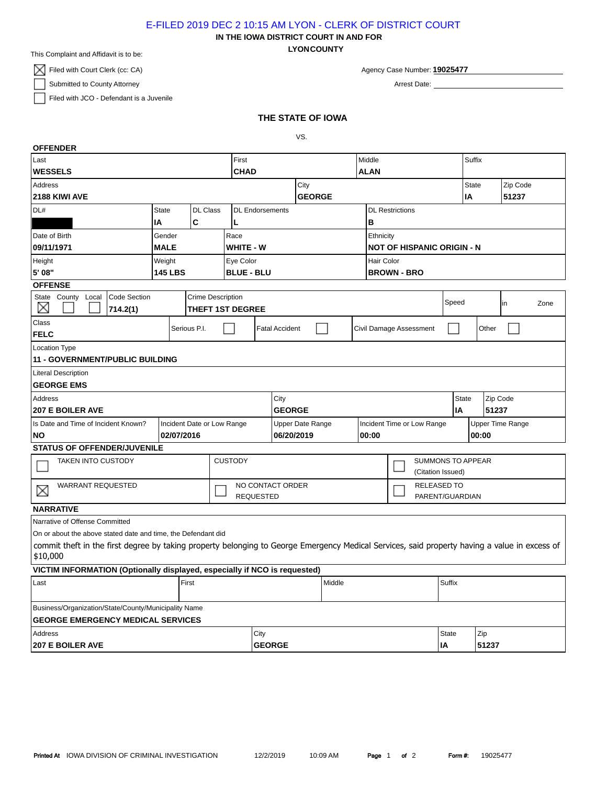E-FILED 2019 DEC 2 10:15 AM LYON - CLERK OF DISTRICT COURT

**LYONCOUNTY IN THE IOWA DISTRICT COURT IN AND FOR**

This Complaint and Affidavit is to be:

 $\boxtimes$  Filed with Court Clerk (cc: CA)

Submitted to County Attorney

Filed with JCO - Defendant is a Juvenile

Agency Case Number: **19025477**

Arrest Date:

## **THE STATE OF IOWA**

VS.

| <b>OFFENDER</b>                                                                                                                                           |                                 |  |           |                        |                                                  |  |  |             |                                   |              |             |                          |        |                         |          |  |
|-----------------------------------------------------------------------------------------------------------------------------------------------------------|---------------------------------|--|-----------|------------------------|--------------------------------------------------|--|--|-------------|-----------------------------------|--------------|-------------|--------------------------|--------|-------------------------|----------|--|
| Last                                                                                                                                                      |                                 |  |           | First                  |                                                  |  |  | Middle      |                                   |              |             |                          | Suffix |                         |          |  |
| <b>WESSELS</b>                                                                                                                                            |                                 |  |           | <b>CHAD</b>            |                                                  |  |  | <b>ALAN</b> |                                   |              |             |                          |        |                         |          |  |
| Address                                                                                                                                                   |                                 |  |           | City                   |                                                  |  |  |             |                                   |              |             |                          | State  |                         | Zip Code |  |
| 2188 KIWI AVE                                                                                                                                             |                                 |  |           | <b>GEORGE</b>          |                                                  |  |  |             |                                   |              |             | IA                       |        | 51237                   |          |  |
| DL#                                                                                                                                                       | <b>DL Class</b><br><b>State</b> |  |           | <b>DL</b> Endorsements |                                                  |  |  |             | <b>DL Restrictions</b>            |              |             |                          |        |                         |          |  |
| C<br>IA<br>L                                                                                                                                              |                                 |  |           |                        |                                                  |  |  |             | B                                 |              |             |                          |        |                         |          |  |
| Date of Birth<br>Gender<br>Race                                                                                                                           |                                 |  |           |                        |                                                  |  |  |             | Ethnicity                         |              |             |                          |        |                         |          |  |
| 09/11/1971<br><b>MALE</b>                                                                                                                                 |                                 |  |           | <b>WHITE - W</b>       |                                                  |  |  |             | <b>NOT OF HISPANIC ORIGIN - N</b> |              |             |                          |        |                         |          |  |
| Height<br>Weight                                                                                                                                          |                                 |  | Eye Color |                        |                                                  |  |  |             | Hair Color                        |              |             |                          |        |                         |          |  |
| 5' 08"<br><b>145 LBS</b>                                                                                                                                  |                                 |  |           | <b>BLUE - BLU</b>      |                                                  |  |  |             | <b>BROWN - BRO</b>                |              |             |                          |        |                         |          |  |
| <b>OFFENSE</b>                                                                                                                                            |                                 |  |           |                        |                                                  |  |  |             |                                   |              |             |                          |        |                         |          |  |
| State County Local<br><b>Crime Description</b><br>Code Section<br>$\times$<br><b>THEFT 1ST DEGREE</b><br>714.2(1)                                         |                                 |  |           |                        |                                                  |  |  |             | Speed                             |              |             |                          |        | in<br>Zone              |          |  |
| Class                                                                                                                                                     | Serious P.I.                    |  |           |                        | <b>Fatal Accident</b><br>Civil Damage Assessment |  |  |             |                                   |              |             |                          |        | Other                   |          |  |
| <b>FELC</b>                                                                                                                                               |                                 |  |           |                        |                                                  |  |  |             |                                   |              |             |                          |        |                         |          |  |
| <b>Location Type</b>                                                                                                                                      |                                 |  |           |                        |                                                  |  |  |             |                                   |              |             |                          |        |                         |          |  |
| <b>11 - GOVERNMENT/PUBLIC BUILDING</b>                                                                                                                    |                                 |  |           |                        |                                                  |  |  |             |                                   |              |             |                          |        |                         |          |  |
| <b>Literal Description</b>                                                                                                                                |                                 |  |           |                        |                                                  |  |  |             |                                   |              |             |                          |        |                         |          |  |
| <b>GEORGE EMS</b>                                                                                                                                         |                                 |  |           |                        |                                                  |  |  |             |                                   |              |             |                          |        |                         |          |  |
| Address                                                                                                                                                   |                                 |  |           | City                   |                                                  |  |  |             |                                   |              |             | Zip Code<br><b>State</b> |        |                         |          |  |
| <b>207 E BOILER AVE</b>                                                                                                                                   |                                 |  |           | <b>GEORGE</b>          |                                                  |  |  |             |                                   |              | 51237<br>IA |                          |        |                         |          |  |
| Is Date and Time of Incident Known?<br>Incident Date or Low Range                                                                                         |                                 |  |           | Upper Date Range       |                                                  |  |  |             | Incident Time or Low Range        |              |             |                          |        | <b>Upper Time Range</b> |          |  |
| <b>NO</b>                                                                                                                                                 | 02/07/2016                      |  |           | 06/20/2019             |                                                  |  |  |             | 00:00                             |              |             |                          | 00:00  |                         |          |  |
| <b>STATUS OF OFFENDER/JUVENILE</b>                                                                                                                        |                                 |  |           |                        |                                                  |  |  |             |                                   |              |             |                          |        |                         |          |  |
| <b>CUSTODY</b><br><b>TAKEN INTO CUSTODY</b>                                                                                                               |                                 |  |           |                        |                                                  |  |  |             | <b>SUMMONS TO APPEAR</b>          |              |             |                          |        |                         |          |  |
|                                                                                                                                                           |                                 |  |           |                        |                                                  |  |  |             | (Citation Issued)                 |              |             |                          |        |                         |          |  |
| <b>WARRANT REQUESTED</b><br>$\times$                                                                                                                      |                                 |  |           | NO CONTACT ORDER       |                                                  |  |  |             | <b>RELEASED TO</b>                |              |             |                          |        |                         |          |  |
|                                                                                                                                                           |                                 |  |           | <b>REQUESTED</b>       |                                                  |  |  |             |                                   |              |             | PARENT/GUARDIAN          |        |                         |          |  |
| <b>NARRATIVE</b>                                                                                                                                          |                                 |  |           |                        |                                                  |  |  |             |                                   |              |             |                          |        |                         |          |  |
| Narrative of Offense Committed                                                                                                                            |                                 |  |           |                        |                                                  |  |  |             |                                   |              |             |                          |        |                         |          |  |
| On or about the above stated date and time, the Defendant did                                                                                             |                                 |  |           |                        |                                                  |  |  |             |                                   |              |             |                          |        |                         |          |  |
| commit theft in the first degree by taking property belonging to George Emergency Medical Services, said property having a value in excess of<br>\$10,000 |                                 |  |           |                        |                                                  |  |  |             |                                   |              |             |                          |        |                         |          |  |
| VICTIM INFORMATION (Optionally displayed, especially if NCO is requested)                                                                                 |                                 |  |           |                        |                                                  |  |  |             |                                   |              |             |                          |        |                         |          |  |
| First<br>Last                                                                                                                                             |                                 |  |           | Middle                 |                                                  |  |  | Suffix      |                                   |              |             |                          |        |                         |          |  |
| Business/Organization/State/County/Municipality Name                                                                                                      |                                 |  |           |                        |                                                  |  |  |             |                                   |              |             |                          |        |                         |          |  |
| <b>GEORGE EMERGENCY MEDICAL SERVICES</b>                                                                                                                  |                                 |  |           |                        |                                                  |  |  |             |                                   |              |             |                          |        |                         |          |  |
| Address                                                                                                                                                   |                                 |  |           | City                   |                                                  |  |  |             |                                   | <b>State</b> | Zip         |                          |        |                         |          |  |
| <b>207 E BOILER AVE</b>                                                                                                                                   |                                 |  |           | <b>GEORGE</b>          |                                                  |  |  |             |                                   |              | ΙA          |                          | 51237  |                         |          |  |